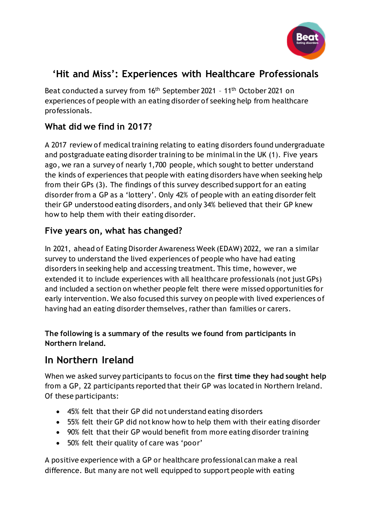

# **'Hit and Miss': Experiences with Healthcare Professionals**

Beat conducted a survey from 16<sup>th</sup> September 2021 - 11<sup>th</sup> October 2021 on experiences of people with an eating disorder of seeking help from healthcare professionals.

## **What did we find in 2017?**

A 2017 review of medical training relating to eating disorders found undergraduate and postgraduate eating disorder training to be minimal in the UK (1). Five years ago, we ran a survey of nearly 1,700 people, which sought to better understand the kinds of experiences that people with eating disorders have when seeking help from their GPs (3). The findings of this survey described support for an eating disorder from a GP as a 'lottery'. Only 42% of people with an eating disorder felt their GP understood eating disorders, and only 34% believed that their GP knew how to help them with their eating disorder.

### **Five years on, what has changed?**

In 2021, ahead of Eating Disorder Awareness Week (EDAW) 2022, we ran a similar survey to understand the lived experiences of people who have had eating disorders in seeking help and accessing treatment. This time, however, we extended it to include experiences with all healthcare professionals (not just GPs) and included a section on whether people felt there were missed opportunities for early intervention. We also focused this survey on people with lived experiences of having had an eating disorder themselves, rather than families or carers.

#### **The following is a summary of the results we found from participants in Northern Ireland.**

# **In Northern Ireland**

When we asked survey participants to focus on the **first time they had sought help** from a GP, 22 participants reported that their GP was located in Northern Ireland. Of these participants:

- 45% felt that their GP did not understand eating disorders
- 55% felt their GP did not know how to help them with their eating disorder
- 90% felt that their GP would benefit from more eating disorder training
- 50% felt their quality of care was 'poor'

A positive experience with a GP or healthcare professional can make a real difference. But many are not well equipped to support people with eating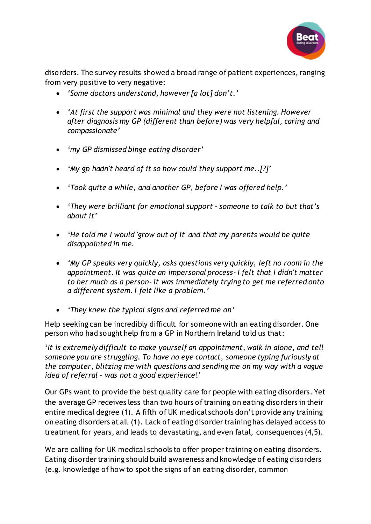

disorders. The survey results showed a broad range of patient experiences, ranging from very positive to very negative:

- *'Some doctors understand, however [a lot] don't.'*
- *'At first the support was minimal and they were not listening. However after diagnosis my GP (different than before) was very helpful, caring and compassionate'*
- *'my GP dismissed binge eating disorder'*
- *'My gp hadn't heard of it so how could they support me..[?]'*
- *'Took quite a while, and another GP, before I was offered help.'*
- *'They were brilliant for emotional support - someone to talk to but that's about it'*
- *'He told me I would 'grow out of it' and that my parents would be quite disappointed in me.*
- *'My GP speaks very quickly, asks questions very quickly, left no room in the appointment. It was quite an impersonal process- I felt that I didn't matter to her much as a person- it was immediately trying to get me referred onto a different system. I felt like a problem.'*
- *'They knew the typical signs and referred me on'*

Help seeking can be incredibly difficult for someone with an eating disorder. One person who had sought help from a GP in Northern Ireland told us that:

'*It is extremely difficult to make yourself an appointment, walk in alone, and tell someone you are struggling. To have no eye contact, someone typing furiously at the computer, blitzing me with questions and sending me on my way with a vague idea of referral – was not a good experience*!'

Our GPs want to provide the best quality care for people with eating disorders. Yet the average GP receives less than two hours of training on eating disorders in their entire medical degree (1). A fifth of UK medical schools don't provide any training on eating disorders at all (1). Lack of eating disorder training has delayed access to treatment for years, and leads to devastating, and even fatal, consequences (4,5).

We are calling for UK medical schools to offer proper training on eating disorders. Eating disorder training should build awareness and knowledge of eating disorders (e.g. knowledge of how to spot the signs of an eating disorder, common